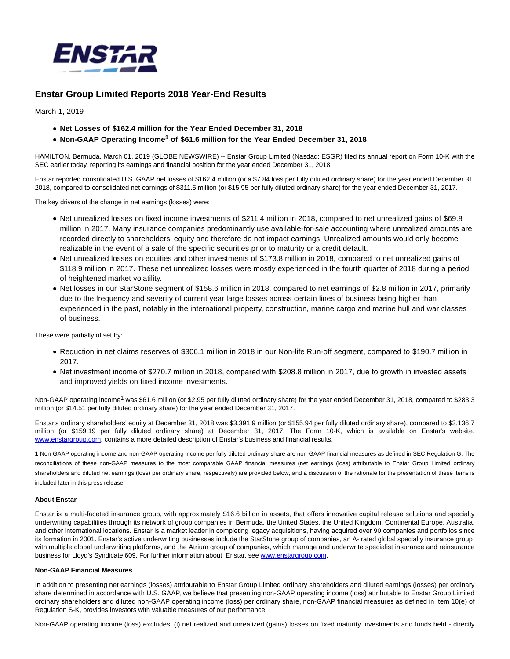

# **Enstar Group Limited Reports 2018 Year-End Results**

March 1, 2019

- **Net Losses of \$162.4 million for the Year Ended December 31, 2018**
- **Non-GAAP Operating Income<sup>1</sup> of \$61.6 million for the Year Ended December 31, 2018**

HAMILTON, Bermuda, March 01, 2019 (GLOBE NEWSWIRE) -- Enstar Group Limited (Nasdaq: ESGR) filed its annual report on Form 10-K with the SEC earlier today, reporting its earnings and financial position for the year ended December 31, 2018.

Enstar reported consolidated U.S. GAAP net losses of \$162.4 million (or a \$7.84 loss per fully diluted ordinary share) for the year ended December 31, 2018, compared to consolidated net earnings of \$311.5 million (or \$15.95 per fully diluted ordinary share) for the year ended December 31, 2017.

The key drivers of the change in net earnings (losses) were:

- Net unrealized losses on fixed income investments of \$211.4 million in 2018, compared to net unrealized gains of \$69.8 million in 2017. Many insurance companies predominantly use available-for-sale accounting where unrealized amounts are recorded directly to shareholders' equity and therefore do not impact earnings. Unrealized amounts would only become realizable in the event of a sale of the specific securities prior to maturity or a credit default.
- Net unrealized losses on equities and other investments of \$173.8 million in 2018, compared to net unrealized gains of \$118.9 million in 2017. These net unrealized losses were mostly experienced in the fourth quarter of 2018 during a period of heightened market volatility.
- Net losses in our StarStone segment of \$158.6 million in 2018, compared to net earnings of \$2.8 million in 2017, primarily due to the frequency and severity of current year large losses across certain lines of business being higher than experienced in the past, notably in the international property, construction, marine cargo and marine hull and war classes of business.

These were partially offset by:

- Reduction in net claims reserves of \$306.1 million in 2018 in our Non-life Run-off segment, compared to \$190.7 million in 2017.
- Net investment income of \$270.7 million in 2018, compared with \$208.8 million in 2017, due to growth in invested assets and improved yields on fixed income investments.

Non-GAAP operating income<sup>1</sup> was \$61.6 million (or \$2.95 per fully diluted ordinary share) for the year ended December 31, 2018, compared to \$283.3 million (or \$14.51 per fully diluted ordinary share) for the year ended December 31, 2017.

Enstar's ordinary shareholders' equity at December 31, 2018 was \$3,391.9 million (or \$155.94 per fully diluted ordinary share), compared to \$3,136.7 million (or \$159.19 per fully diluted ordinary share) at December 31, 2017. The Form 10-K, which is available on Enstar's website, [www.enstargroup.com,](https://www.globenewswire.com/Tracker?data=5Vm5-YAWF9RMGFocZ5OkT27j5sAet5dCQNa2pjhWznEqvik0HFgrrlczJGBzVGwH14BAUa6PKMdKml6ngCVCWgqWiLPh8ZsI9RaggTmBkv4=) contains a more detailed description of Enstar's business and financial results.

**1** Non-GAAP operating income and non-GAAP operating income per fully diluted ordinary share are non-GAAP financial measures as defined in SEC Regulation G. The reconciliations of these non-GAAP measures to the most comparable GAAP financial measures (net earnings (loss) attributable to Enstar Group Limited ordinary shareholders and diluted net earnings (loss) per ordinary share, respectively) are provided below, and a discussion of the rationale for the presentation of these items is included later in this press release.

## **About Enstar**

Enstar is a multi-faceted insurance group, with approximately \$16.6 billion in assets, that offers innovative capital release solutions and specialty underwriting capabilities through its network of group companies in Bermuda, the United States, the United Kingdom, Continental Europe, Australia, and other international locations. Enstar is a market leader in completing legacy acquisitions, having acquired over 90 companies and portfolios since its formation in 2001. Enstar's active underwriting businesses include the StarStone group of companies, an A- rated global specialty insurance group with multiple global underwriting platforms, and the Atrium group of companies, which manage and underwrite specialist insurance and reinsurance business for Lloyd's Syndicate 609. For further information about Enstar, see [www.enstargroup.com.](https://www.globenewswire.com/Tracker?data=5Vm5-YAWF9RMGFocZ5OkT2kZSUMykij35VjCUIYmO-LAfzVSvc-6tR3HMYmNTUPvDhJL_riXTuBhT9-5lAQfOsBAxAcOoYw0o9gCIpW1VBI=)

### **Non-GAAP Financial Measures**

In addition to presenting net earnings (losses) attributable to Enstar Group Limited ordinary shareholders and diluted earnings (losses) per ordinary share determined in accordance with U.S. GAAP, we believe that presenting non-GAAP operating income (loss) attributable to Enstar Group Limited ordinary shareholders and diluted non-GAAP operating income (loss) per ordinary share, non-GAAP financial measures as defined in Item 10(e) of Regulation S-K, provides investors with valuable measures of our performance.

Non-GAAP operating income (loss) excludes: (i) net realized and unrealized (gains) losses on fixed maturity investments and funds held - directly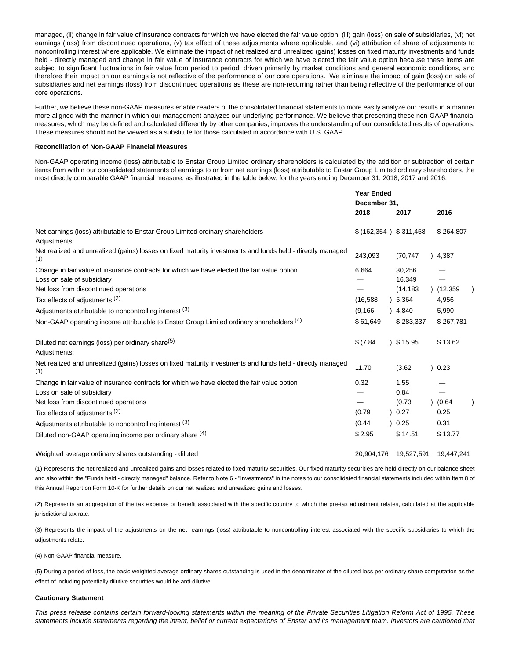managed, (ii) change in fair value of insurance contracts for which we have elected the fair value option, (iii) gain (loss) on sale of subsidiaries, (vi) net earnings (loss) from discontinued operations, (v) tax effect of these adjustments where applicable, and (vi) attribution of share of adjustments to noncontrolling interest where applicable. We eliminate the impact of net realized and unrealized (gains) losses on fixed maturity investments and funds held - directly managed and change in fair value of insurance contracts for which we have elected the fair value option because these items are subject to significant fluctuations in fair value from period to period, driven primarily by market conditions and general economic conditions, and therefore their impact on our earnings is not reflective of the performance of our core operations. We eliminate the impact of gain (loss) on sale of subsidiaries and net earnings (loss) from discontinued operations as these are non-recurring rather than being reflective of the performance of our core operations.

Further, we believe these non-GAAP measures enable readers of the consolidated financial statements to more easily analyze our results in a manner more aligned with the manner in which our management analyzes our underlying performance. We believe that presenting these non-GAAP financial measures, which may be defined and calculated differently by other companies, improves the understanding of our consolidated results of operations. These measures should not be viewed as a substitute for those calculated in accordance with U.S. GAAP.

### **Reconciliation of Non-GAAP Financial Measures**

Non-GAAP operating income (loss) attributable to Enstar Group Limited ordinary shareholders is calculated by the addition or subtraction of certain items from within our consolidated statements of earnings to or from net earnings (loss) attributable to Enstar Group Limited ordinary shareholders, the most directly comparable GAAP financial measure, as illustrated in the table below, for the years ending December 31, 2018, 2017 and 2016:

|                                                                                                                   | <b>Year Ended</b><br>December 31,<br>2018 | 2017       | 2016       |  |
|-------------------------------------------------------------------------------------------------------------------|-------------------------------------------|------------|------------|--|
| Net earnings (loss) attributable to Enstar Group Limited ordinary shareholders                                    | \$ (162,354) \$311,458                    |            | \$264,807  |  |
| Adjustments:                                                                                                      |                                           |            |            |  |
| Net realized and unrealized (gains) losses on fixed maturity investments and funds held - directly managed<br>(1) | 243,093                                   | (70, 747)  | 4,387      |  |
| Change in fair value of insurance contracts for which we have elected the fair value option                       | 6,664                                     | 30,256     |            |  |
| Loss on sale of subsidiary                                                                                        |                                           | 16,349     |            |  |
| Net loss from discontinued operations                                                                             |                                           | (14, 183)  | (12,359)   |  |
| Tax effects of adjustments (2)                                                                                    | (16, 588)                                 | ) 5,364    | 4,956      |  |
| Adjustments attributable to noncontrolling interest (3)                                                           | (9, 166)                                  | 4,840      | 5,990      |  |
| Non-GAAP operating income attributable to Enstar Group Limited ordinary shareholders (4)                          | \$61,649                                  | \$283,337  | \$267,781  |  |
| Diluted net earnings (loss) per ordinary share <sup>(5)</sup>                                                     | \$ (7.84)                                 | 35.95      | \$13.62    |  |
| Adjustments:                                                                                                      |                                           |            |            |  |
| Net realized and unrealized (gains) losses on fixed maturity investments and funds held - directly managed<br>(1) | 11.70                                     | (3.62)     | 0.23       |  |
| Change in fair value of insurance contracts for which we have elected the fair value option                       | 0.32                                      | 1.55       |            |  |
| Loss on sale of subsidiary                                                                                        |                                           | 0.84       |            |  |
| Net loss from discontinued operations                                                                             |                                           | (0.73)     | (0.64)     |  |
| Tax effects of adjustments (2)                                                                                    | (0.79)                                    | 0.27       | 0.25       |  |
| Adjustments attributable to noncontrolling interest (3)                                                           | (0.44)                                    | 0.25       | 0.31       |  |
| Diluted non-GAAP operating income per ordinary share (4)                                                          | \$2.95                                    | \$14.51    | \$13.77    |  |
| Weighted average ordinary shares outstanding - diluted                                                            | 20,904,176                                | 19,527,591 | 19.447.241 |  |

(1) Represents the net realized and unrealized gains and losses related to fixed maturity securities. Our fixed maturity securities are held directly on our balance sheet and also within the "Funds held - directly managed" balance. Refer to Note 6 - "Investments" in the notes to our consolidated financial statements included within Item 8 of this Annual Report on Form 10-K for further details on our net realized and unrealized gains and losses.

(2) Represents an aggregation of the tax expense or benefit associated with the specific country to which the pre-tax adjustment relates, calculated at the applicable jurisdictional tax rate.

(3) Represents the impact of the adjustments on the net earnings (loss) attributable to noncontrolling interest associated with the specific subsidiaries to which the adjustments relate.

(4) Non-GAAP financial measure.

(5) During a period of loss, the basic weighted average ordinary shares outstanding is used in the denominator of the diluted loss per ordinary share computation as the effect of including potentially dilutive securities would be anti-dilutive.

### **Cautionary Statement**

This press release contains certain forward-looking statements within the meaning of the Private Securities Litigation Reform Act of 1995. These statements include statements regarding the intent, belief or current expectations of Enstar and its management team. Investors are cautioned that